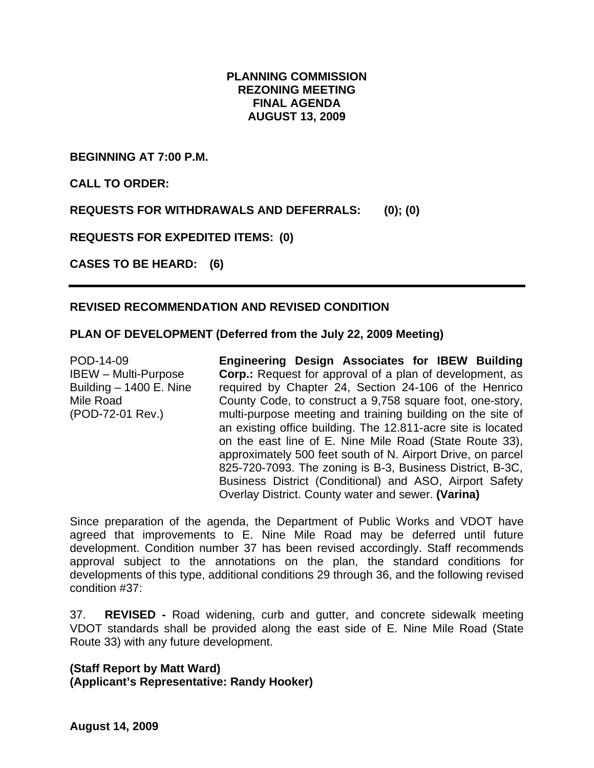## **PLANNING COMMISSION REZONING MEETING FINAL AGENDA AUGUST 13, 2009**

**BEGINNING AT 7:00 P.M.** 

**CALL TO ORDER:** 

**REQUESTS FOR WITHDRAWALS AND DEFERRALS: (0); (0)** 

**REQUESTS FOR EXPEDITED ITEMS: (0)** 

**CASES TO BE HEARD: (6)** 

# **REVISED RECOMMENDATION AND REVISED CONDITION**

### **PLAN OF DEVELOPMENT (Deferred from the July 22, 2009 Meeting)**

POD-14-09 IBEW – Multi-Purpose Building – 1400 E. Nine Mile Road (POD-72-01 Rev.)

**Engineering Design Associates for IBEW Building Corp.:** Request for approval of a plan of development, as required by Chapter 24, Section 24-106 of the Henrico County Code, to construct a 9,758 square foot, one-story, multi-purpose meeting and training building on the site of an existing office building. The 12.811-acre site is located on the east line of E. Nine Mile Road (State Route 33), approximately 500 feet south of N. Airport Drive, on parcel 825-720-7093. The zoning is B-3, Business District, B-3C, Business District (Conditional) and ASO, Airport Safety Overlay District. County water and sewer. **(Varina)**

Since preparation of the agenda, the Department of Public Works and VDOT have agreed that improvements to E. Nine Mile Road may be deferred until future development. Condition number 37 has been revised accordingly. Staff recommends approval subject to the annotations on the plan, the standard conditions for developments of this type, additional conditions 29 through 36, and the following revised condition #37:

37. **REVISED -** Road widening, curb and gutter, and concrete sidewalk meeting VDOT standards shall be provided along the east side of E. Nine Mile Road (State Route 33) with any future development.

**(Staff Report by Matt Ward)** 

**(Applicant's Representative: Randy Hooker)**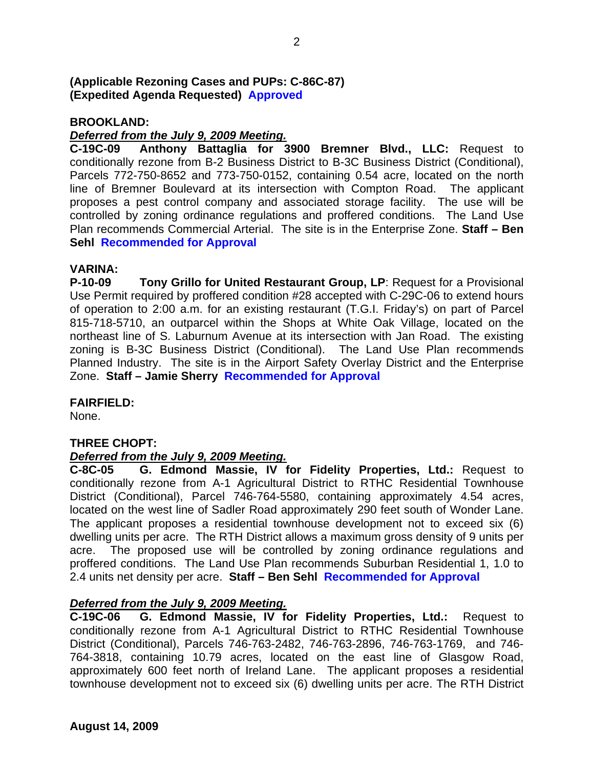## **(Applicable Rezoning Cases and PUPs: C-86C-87) (Expedited Agenda Requested) Approved**

## **BROOKLAND:**

## *Deferred from the July 9, 2009 Meeting.*

**C-19C-09 Anthony Battaglia for 3900 Bremner Blvd., LLC:** Request to conditionally rezone from B-2 Business District to B-3C Business District (Conditional), Parcels 772-750-8652 and 773-750-0152, containing 0.54 acre, located on the north line of Bremner Boulevard at its intersection with Compton Road. The applicant proposes a pest control company and associated storage facility. The use will be controlled by zoning ordinance regulations and proffered conditions. The Land Use Plan recommends Commercial Arterial. The site is in the Enterprise Zone. **Staff – Ben Sehl Recommended for Approval**

### **VARINA:**

**P-10-09 Tony Grillo for United Restaurant Group, LP**: Request for a Provisional Use Permit required by proffered condition #28 accepted with C-29C-06 to extend hours of operation to 2:00 a.m. for an existing restaurant (T.G.I. Friday's) on part of Parcel 815-718-5710, an outparcel within the Shops at White Oak Village, located on the northeast line of S. Laburnum Avenue at its intersection with Jan Road. The existing zoning is B-3C Business District (Conditional). The Land Use Plan recommends Planned Industry. The site is in the Airport Safety Overlay District and the Enterprise Zone. **Staff – Jamie Sherry Recommended for Approval**

#### **FAIRFIELD:**

None.

# **THREE CHOPT:**

# *Deferred from the July 9, 2009 Meeting.*

**C-8C-05 G. Edmond Massie, IV for Fidelity Properties, Ltd.:** Request to conditionally rezone from A-1 Agricultural District to RTHC Residential Townhouse District (Conditional), Parcel 746-764-5580, containing approximately 4.54 acres, located on the west line of Sadler Road approximately 290 feet south of Wonder Lane. The applicant proposes a residential townhouse development not to exceed six (6) dwelling units per acre. The RTH District allows a maximum gross density of 9 units per acre. The proposed use will be controlled by zoning ordinance regulations and proffered conditions. The Land Use Plan recommends Suburban Residential 1, 1.0 to 2.4 units net density per acre. **Staff – Ben Sehl Recommended for Approval**

# *Deferred from the July 9, 2009 Meeting.*

**C-19C-06 G. Edmond Massie, IV for Fidelity Properties, Ltd.:** Request to conditionally rezone from A-1 Agricultural District to RTHC Residential Townhouse District (Conditional), Parcels 746-763-2482, 746-763-2896, 746-763-1769, and 746- 764-3818, containing 10.79 acres, located on the east line of Glasgow Road, approximately 600 feet north of Ireland Lane. The applicant proposes a residential townhouse development not to exceed six (6) dwelling units per acre. The RTH District